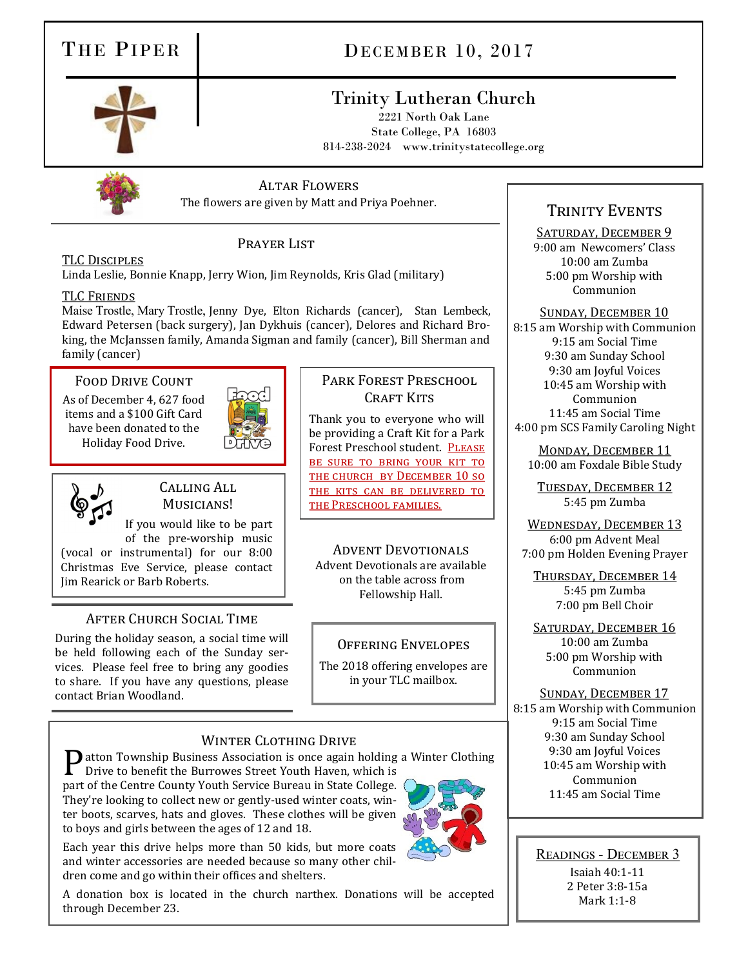# THE PIPER DECEMBER 10, 2017

## Trinity Lutheran Church

2221 North Oak Lane State College, PA 16803 814-238-2024 www.trinitystatecollege.org



### Altar Flowers

The flowers are given by Matt and Priya Poehner.

#### TLC Disciples

Linda Leslie, Bonnie Knapp, Jerry Wion, Jim Reynolds, Kris Glad (military)

#### TLC Friends

Maise Trostle, Mary Trostle, Jenny Dye, Elton Richards (cancer), Stan Lembeck, Edward Petersen (back surgery), Jan Dykhuis (cancer), Delores and Richard Broking, the McJanssen family, Amanda Sigman and family (cancer), Bill Sherman and family (cancer)

PRAYER LIST

#### Food Drive Count

As of December 4, 627 food items and a \$100 Gift Card have been donated to the Holiday Food Drive.



#### CALLING ALL Musicians!

If you would like to be part of the pre-worship music

(vocal or instrumental) for our 8:00 Christmas Eve Service, please contact Jim Rearick or Barb Roberts.

### After Church Social Time

During the holiday season, a social time will be held following each of the Sunday services. Please feel free to bring any goodies to share. If you have any questions, please contact Brian Woodland.

#### Park Forest Preschool CRAFT KITS

Thank you to everyone who will be providing a Craft Kit for a Park Forest Preschool student. PLEASE be sure to bring your kit to the church by December 10 so the kits can be delivered to the Preschool families.

Advent Devotionals Advent Devotionals are available on the table across from Fellowship Hall.

#### Offering Envelopes

The 2018 offering envelopes are in your TLC mailbox.

### WINTER CLOTHING DRIVE

**P** atton Township Business Association is once again holding a Winter Clothing<br>Drive to benefit the Burrowes Street Youth Haven, which is

Drive to benefit the Burrowes Street Youth Haven, which is part of the Centre County Youth Service Bureau in State College. They're looking to collect new or gently-used winter coats, winter boots, scarves, hats and gloves. These clothes will be given to boys and girls between the ages of 12 and 18.

Each year this drive helps more than 50 kids, but more coats and winter accessories are needed because so many other children come and go within their offices and shelters.

A donation box is located in the church narthex. Donations will be accepted through December 23.

## TRINITY EVENTS

#### SATURDAY, DECEMBER 9

9:00 am Newcomers' Class 10:00 am Zumba 5:00 pm Worship with Communion

Sunday, December 10

8:15 am Worship with Communion 9:15 am Social Time 9:30 am Sunday School 9:30 am Joyful Voices 10:45 am Worship with Communion 11:45 am Social Time 4:00 pm SCS Family Caroling Night

Monday, December 11 10:00 am Foxdale Bible Study

Tuesday, December 12 5:45 pm Zumba

WEDNESDAY, DECEMBER 13 6:00 pm Advent Meal 7:00 pm Holden Evening Prayer

Thursday, December 14 5:45 pm Zumba 7:00 pm Bell Choir

SATURDAY, DECEMBER 16 10:00 am Zumba 5:00 pm Worship with Communion

Sunday, December 17 8:15 am Worship with Communion 9:15 am Social Time 9:30 am Sunday School 9:30 am Joyful Voices 10:45 am Worship with Communion 11:45 am Social Time

Readings - December 3 Isaiah 40:1-11 2 Peter 3:8-15a Mark 1:1-8